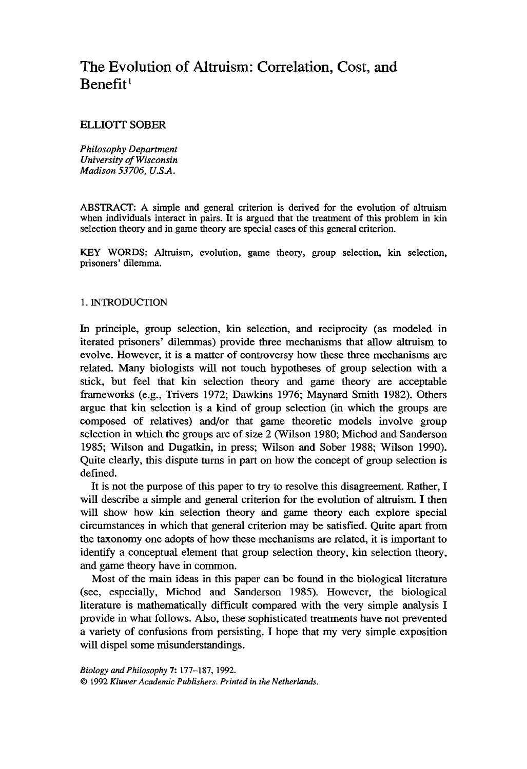# The Evolution of Altruism: Correlation, Cost, and Benefit'

# ELLIOTT SOBER

*Philosophy Department University of Wisconsin Madison 53706, U.SA.*

ABSTRACT: A simple and general criterion is derived for the evolution of altruism when individuals interact in pairs. It is argued that the treatment of this problem in kin selection theory and in game theory are special cases of this general criterion.

KEY WORDS: Altruism, evolution, game theory, group selection, kin selection, prisoners' dilemma.

## 1. INTRODUCTION

In principle, group selection, kin selection, and reciprocity (as modeled in iterated prisoners' dilemmas) provide three mechanisms that allow altruism to evolve. However, it is a matter of controversy how these three mechanisms are related. Many biologists will not touch hypotheses of group selection with a stick, but feel that kin selection theory and game theory are acceptable frameworks (e.g., Trivers 1972; Dawkins 1976; Maynard Smith 1982). Others argue that kin selection is a kind of group selection (in which the groups are composed of relatives) and/or that game theoretic models involve group selection in which the groups are of size 2 (Wilson 1980; Michod and Sanderson 1985; Wilson and Dugatkin, in press; Wilson and Sober 1988; Wilson 1990). Quite clearly, this dispute turns in part on how the concept of group selection is defined.

It is not the purpose of this paper to try to resolve this disagreement. Rather, I will describe a simple and general criterion for the evolution of altruism. I then will show how kin selection theory and game theory each explore special circumstances in which that general criterion may be satisfied. Quite apart from the taxonomy one adopts of how these mechanisms are related, it is important to identify a conceptual element that group selection theory, kin selection theory, and game theory have in common.

Most of the main ideas in this paper can be found in the biological literature (see, especially, Michod and Sanderson 1985). However, the biological literature is mathematically difficult compared with the very simple analysis I provide in what follows. Also, these sophisticated treatments have not prevented a variety of confusions from persisting. I hope that my very simple exposition will dispel some misunderstandings.

*Biology and Philosophy 7:* 177-187, 1992. *©* 1992 *Kluwer Academic Publishers. Printed in the Netherlands.*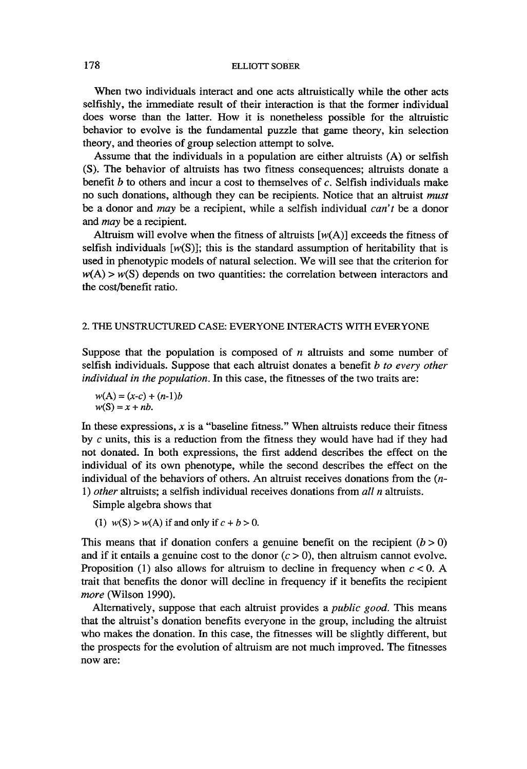#### **ELLIOTT** SOBER

When two individuals interact and one acts altruistically while the other acts selfishly, the immediate result of their interaction is that the former individual does worse than the latter. How it is nonetheless possible for the altruistic behavior to evolve is the fundamental puzzle that game theory, kin selection theory, and theories of group selection attempt to solve.

Assume that the individuals in a population are either altruists (A) or selfish (S). The behavior of altruists has two fitness consequences; altruists donate a benefit *b* to others and incur a cost to themselves of *c.* Selfish individuals make no such donations, although they can be recipients. Notice that an altruist *must* be a donor and *may* be a recipient, while a selfish individual *can't* be a donor and *may* be a recipient.

Altruism will evolve when the fitness of altruists  $[w(A)]$  exceeds the fitness of selfish individuals  $[w(S)]$ ; this is the standard assumption of heritability that is used in phenotypic models of natural selection. We will see that the criterion for  $w(A)$  >  $w(S)$  depends on two quantities: the correlation between interactors and the cost/benefit ratio.

## 2. THE UNSTRUCTURED CASE: EVERYONE INTERACTS WITH EVERYONE

Suppose that the population is composed of *n* altruists and some number of selfish individuals. Suppose that each altruist donates a benefit *b to every other individual in the population.* In this case, the fitnesses of the two traits are:

 $w(A) = (x-c) + (n-1)b$  $w(S) = x + nb$ .

In these expressions,  $x$  is a "baseline fitness." When altruists reduce their fitness by c units, this is a reduction from the fitness they would have had if they had not donated. In both expressions, the first addend describes the effect on the individual of its own phenotype, while the second describes the effect on the individual of the behaviors of others. An altruist receives donations from the *(n-1) other* altruists; a selfish individual receives donations from *all n* altruists.

Simple algebra shows that

(1)  $w(S) > w(A)$  if and only if  $c + b > 0$ .

This means that if donation confers a genuine benefit on the recipient  $(b > 0)$ and if it entails a genuine cost to the donor  $(c > 0)$ , then altruism cannot evolve. Proposition (1) also allows for altruism to decline in frequency when  $c < 0$ . A trait that benefits the donor will decline in frequency if it benefits the recipient *more* (Wilson 1990).

Alternatively, suppose that each altruist provides a *public good.* This means that the altruist's donation benefits everyone in the group, including the altruist who makes the donation. In this case, the fitnesses will be slightly different, but the prospects for the evolution of altruism are not much improved. The fitnesses now are: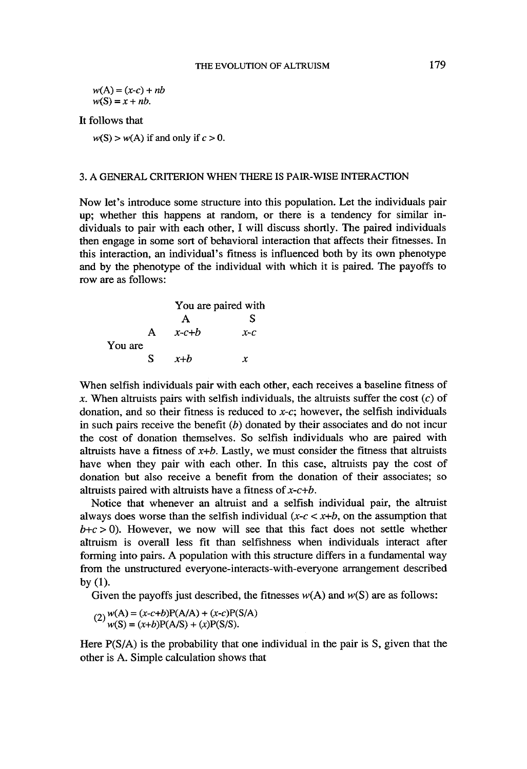$w(A) = (x-c) + nb$  $w(S) = x + nb$ .

## It follows that

 $w(S) > w(A)$  if and only if  $c > 0$ .

# 3. A GENERAL CRITERION WHEN THERE IS PAIR-WISE INTERACTION

Now let's introduce some structure into this population. Let the individuals pair up; whether this happens at random, or there is a tendency for similar individuals to pair with each other, I will discuss shortly. The paired individuals then engage in some sort of behavioral interaction that affects their fitnesses. In this interaction, an individual's fitness is influenced both by its own phenotype and by the phenotype of the individual with which it is paired. The payoffs to row are as follows:

You are paired with  
\nA  
\n
$$
x-c+b
$$
  
\nYou are  
\nS  
\n $x+b$   
\n $x$ 

When selfish individuals pair with each other, each receives a baseline fitness of x. When altruists pairs with selfish individuals, the altruists suffer the cost  $(c)$  of donation, and so their fitness is reduced to *x-c;* however, the selfish individuals in such pairs receive the benefit *(b)* donated by their associates and do not incur the cost of donation themselves. So selfish individuals who are paired with altruists have a fitness of  $x+b$ . Lastly, we must consider the fitness that altruists have when they pair with each other. In this case, altruists pay the cost of donation but also receive a benefit from the donation of their associates; so altruists paired with altruists have a fitness of *x-c+b.*

Notice that whenever an altruist and a selfish individual pair, the altruist always does worse than the selfish individual *(x-c < x+b,* on the assumption that  $b+c > 0$ ). However, we now will see that this fact does not settle whether altruism is overall less fit than selfishness when individuals interact after forming into pairs. A population with this structure differs in a fundamental way from the unstructured everyone-interacts-with-everyone arrangement described by (1).

Given the payoffs just described, the fitnesses  $w(A)$  and  $w(S)$  are as follows:

 $(2)$   $w(A) = (x-c+b)P(A/A) + (x-c)P(S/A)$  $w(S) = (x+b)P(A/S) + (x)P(S/S).$ 

Here P(S/A) is the probability that one individual in the pair is S, given that the other is A. Simple calculation shows that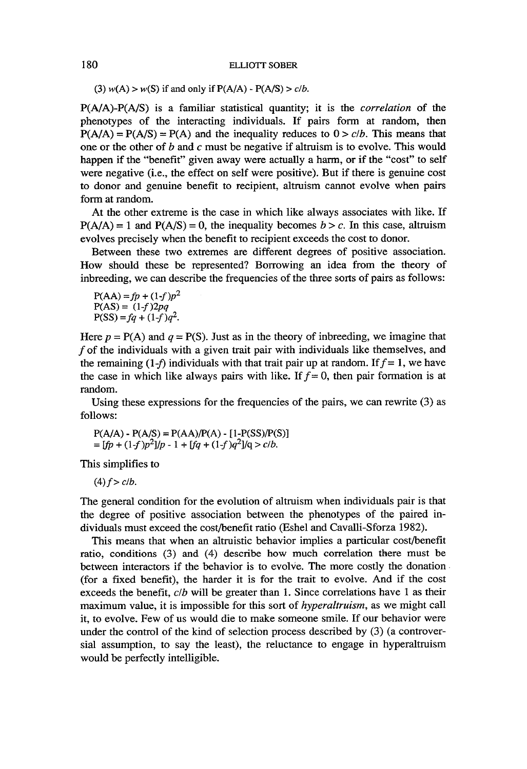(3)  $w(A) > w(S)$  if and only if  $P(A/A) - P(A/S) > c/b$ .

P(A/A)-P(A/S) is a familiar statistical quantity; it is the *correlation* of the phenotypes of the interacting individuals. If pairs form at random, then  $P(A/A) = P(A/S) = P(A)$  and the inequality reduces to  $0 > c/b$ . This means that one or the other of *b* and *c* must be negative if altruism is to evolve. This would happen if the "benefit" given away were actually a harm, or if the "cost" to self were negative (i.e., the effect on self were positive). But if there is genuine cost to donor and genuine benefit to recipient, altruism cannot evolve when pairs form at random.

At the other extreme is the case in which like always associates with like. If  $P(A/A) = 1$  and  $P(A/S) = 0$ , the inequality becomes  $b > c$ . In this case, altruism evolves precisely when the benefit to recipient exceeds the cost to donor.

Between these two extremes are different degrees of positive association. How should these be represented? Borrowing an idea from the theory of inbreeding, we can describe the frequencies of the three sorts of pairs as follows:

 $P(AA) = fp + (1-f)p^2$  $P(AS) = (1-f)2pq$  $P(SS) = fq + (1-f)q^2$ .

Here  $p = P(A)$  and  $q = P(S)$ . Just as in the theory of inbreeding, we imagine that *f* of the individuals with a given trait pair with individuals like themselves, and the remaining  $(1-f)$  individuals with that trait pair up at random. If  $f=1$ , we have the case in which like always pairs with like. If  $f=0$ , then pair formation is at random.

Using these expressions for the frequencies of the pairs, we can rewrite (3) as follows:

$$
P(A/A) - P(A/S) = P(AA)/P(A) - [1-P(SS)/P(S)]
$$
  
= [fp + (1-f)p<sup>2</sup>]/p - 1 + [fq + (1-f)q<sup>2</sup>]/q > c/b.

This simplifies to

 $(4)$ *f* > *c*/*b*.

The general condition for the evolution of altruism when individuals pair is that the degree of positive association between the phenotypes of the paired individuals must exceed the cost/benefit ratio (Eshel and Cavalli-Sforza 1982).

This means that when an altruistic behavior implies a particular cost/benefit ratio, conditions (3) and (4) describe how much correlation there must be between interactors if the behavior is to evolve. The more costly the donation (for a fixed benefit), the harder it is for the trait to evolve. And if the cost exceeds the benefit, *c/b* will be greater than 1. Since correlations have 1 as their maximum value, it is impossible for this sort of *hyperaltruism,* as we might call it, to evolve. Few of us would die to make someone smile. If our behavior were under the control of the kind of selection process described by (3) (a controversial assumption, to say the least), the reluctance to engage in hyperaltruism would be perfectly intelligible.

180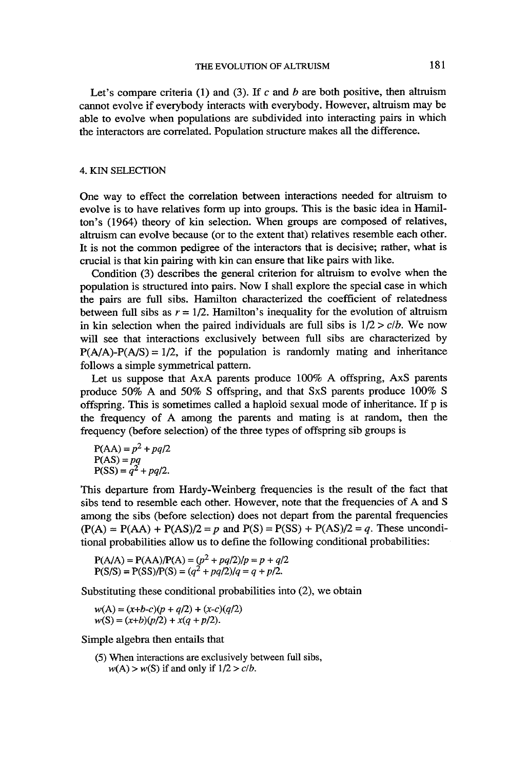Let's compare criteria (1) and (3). If c and *b* are both positive, then altruism cannot evolve if everybody interacts with everybody. However, altruism may be able to evolve when populations are subdivided into interacting pairs in which the interactors are correlated. Population structure makes all the difference.

## 4. KIN SELECTION

One way to effect the correlation between interactions needed for altruism to evolve is to have relatives form up into groups. This is the basic idea in Hamilton's (1964) theory of kin selection. When groups are composed of relatives, altruism can evolve because (or to the extent that) relatives resemble each other. It is not the common pedigree of the interactors that is decisive; rather, what is crucial is that kin pairing with kin can ensure that like pairs with like.

Condition (3) describes the general criterion for altruism to evolve when the population is structured into pairs. Now I shall explore the special case in which the pairs are full sibs. Hamilton characterized the coefficient of relatedness between full sibs as  $r = 1/2$ . Hamilton's inequality for the evolution of altruism in kin selection when the paired individuals are full sibs is  $1/2$  >  $c/b$ . We now will see that interactions exclusively between full sibs are characterized by  $P(A/A) - P(A/S) = 1/2$ , if the population is randomly mating and inheritance follows a simple symmetrical pattern.

Let us suppose that AxA parents produce 100% A offspring, AxS parents produce 50% A and 50% S offspring, and that SxS parents produce 100% S offspring. This is sometimes called a haploid sexual mode of inheritance. If p is the frequency of A among the parents and mating is at random, then the frequency (before selection) of the three types of offspring sib groups is

 $P(AA) = p^2 + pq/2$  $P(AS) = pq$  $P(SS) = q^2 + pq/2.$ 

This departure from Hardy-Weinberg frequencies is the result of the fact that sibs tend to resemble each other. However, note that the frequencies of A and S among the sibs (before selection) does not depart from the parental frequencies  $(P(A) = P(AA) + P(AS)/2 = p$  and  $P(S) = P(SS) + P(AS)/2 = q$ . These unconditional probabilities allow us to define the following conditional probabilities:

 $P(A/A) = P(AA)/P(A) = (p^2 + pq/2)/p = p + q/2$  $P(S/S) = P(SS)/P(S) = (q^2 + pq/2)/q = q + p/2.$ 

Substituting these conditional probabilities into (2), we obtain

 $w(A) = (x+b-c)(p+q/2) + (x-c)(q/2)$  $w(S) = (x+b)(p/2) + x(q + p/2).$ 

Simple algebra then entails that

(5) When interactions are exclusively between full sibs,  $w(A) > w(S)$  if and only if  $1/2 > c/b$ .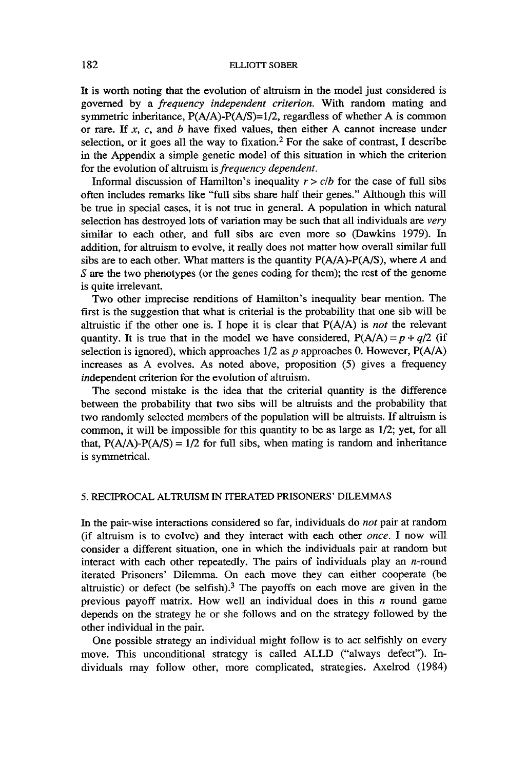#### ELLIOTT SOBER

It is worth noting that the evolution of altruism in the model just considered is governed by a *frequency independent criterion.* With random mating and symmetric inheritance,  $P(A/A)-P(A/S)=1/2$ , regardless of whether A is common or rare. If *x, c,* and *b* have fixed values, then either A cannot increase under selection, or it goes all the way to fixation.<sup>2</sup> For the sake of contrast, I describe in the Appendix a simple genetic model of this situation in which the criterion for the evolution of altruism *is frequency dependent.*

Informal discussion of Hamilton's inequality  $r > c/b$  for the case of full sibs often includes remarks like "full sibs share half their genes." Although this will be true in special cases, it is not true in general. A population in which natural selection has destroyed lots of variation may be such that all individuals are *very* similar to each other, and full sibs are even more so (Dawkins 1979). In addition, for altruism to evolve, it really does not matter how overall similar full sibs are to each other. What matters is the quantity P(A/A)-P(A/S), where *A* and S are the two phenotypes (or the genes coding for them); the rest of the genome is quite irrelevant.

Two other imprecise renditions of Hamilton's inequality bear mention. The first is the suggestion that what is criterial is the probability that one sib will be altruistic if the other one is. I hope it is clear that P(A/A) is *not* the relevant quantity. It is true that in the model we have considered,  $P(A/A) = p + q/2$  (if selection is ignored), which approaches  $1/2$  as p approaches 0. However,  $P(A/A)$ increases as A evolves. As noted above, proposition (5) gives a frequency independent criterion for the evolution of altruism.

The second mistake is the idea that the criterial quantity is the difference between the probability that two sibs will be altruists and the probability that two randomly selected members of the population will be altruists. If altruism is common, it will be impossible for this quantity to be as large as 1/2; yet, for all that,  $P(A/A)-P(A/S) = 1/2$  for full sibs, when mating is random and inheritance is symmetrical.

# 5. RECIPROCAL ALTRUISM IN ITERATED PRISONERS' DILEMMAS

In the pair-wise interactions considered so far, individuals do *not* pair at random (if altruism is to evolve) and they interact with each other *once.* I now will consider a different situation, one in which the individuals pair at random but interact with each other repeatedly. The pairs of individuals play an  $n$ -round iterated Prisoners' Dilemma. On each move they can either cooperate (be altruistic) or defect (be selfish). $3$  The payoffs on each move are given in the previous payoff matrix. How well an individual does in this *n* round game depends on the strategy he or she follows and on the strategy followed by the other individual in the pair.

One possible strategy an individual might follow is to act selfishly on every move. This unconditional strategy is called ALLD ("always defect"). Individuals may follow other, more complicated, strategies. Axelrod (1984)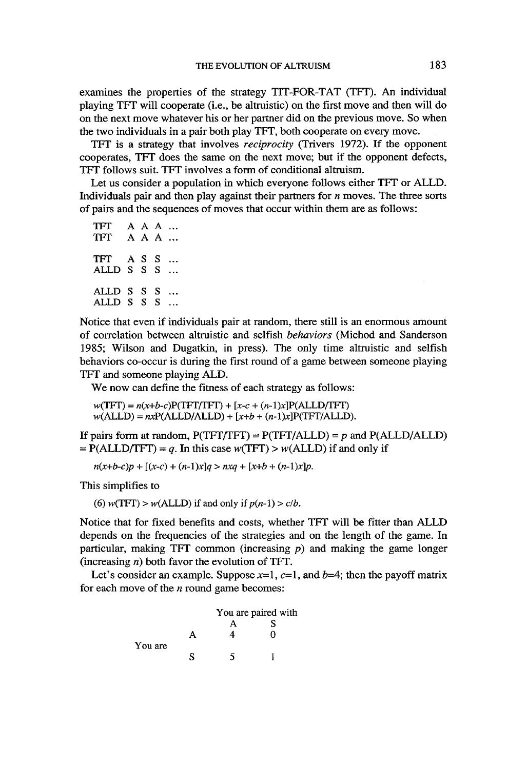examines the properties of the strategy TIT-FOR-TAT (TFT). An individual playing **TFT** will cooperate (i.e., be altruistic) on the first move and then will do on the next move whatever his or her partner did on the previous move. So when the two individuals in a pair both play TFT, both cooperate on every move.

TFT is a strategy that involves *reciprocity* (Trivers 1972). If the opponent cooperates, TFT does the same on the next move; but if the opponent defects, TFT follows suit. TFT involves a form of conditional altruism.

Let us consider a population in which everyone follows either TFT or ALLD. Individuals pair and then play against their partners for *n* moves. The three sorts of pairs and the sequences of moves that occur within them are as follows:

| TFT AAA<br>TFT AAA       |  |  |
|--------------------------|--|--|
| TFT ASS<br>ALLD S S S    |  |  |
| ALLD S S S<br>ALLD S S S |  |  |

Notice that even if individuals pair at random, there still is an enormous amount of correlation between altruistic and selfish *behaviors* (Michod and Sanderson 1985; Wilson and Dugatkin, in press). The only time altruistic and selfish behaviors co-occur is during the first round of a game between someone playing TFT and someone playing ALD.

We now can define the fitness of each strategy as follows:

 $w(TFT) = n(x+b-c)P(TFT/TFT) + [x-c + (n-1)x]P(ALLD/TFT)$  $w(ALLD) = nxP(ALLD/ALLD) + [x+b+(n-1)x]P(TFT/ALLD).$ 

If pairs form at random,  $P(TFT/TFT) = P(TFT/ALLD) = p$  and  $P(ALLD/ALLD)$  $= P(ALLD/TFT) = q$ . In this case  $w(TFT) > w(ALLD)$  if and only if

 $n(x+b-c)p + [(x-c) + (n-1)x]q > nxq + [x+b + (n-1)x]p$ .

This simplifies to

(6)  $w(TFT) > w(ALLD)$  if and only if  $p(n-1) > c/b$ .

Notice that for fixed benefits and costs, whether TFT will be fitter than ALLD depends on the frequencies of the strategies and on the length of the game. In particular, making TFT common (increasing  $p$ ) and making the game longer (increasing *n)* both favor the evolution of TFT.

Let's consider an example. Suppose  $x=1$ ,  $c=1$ , and  $b=4$ ; then the payoff matrix for each move of the *n* round game becomes:

> You are paired with  $\begin{matrix} A & S \\ 4 & 0 \end{matrix}$ A 4 0 You are S **5** 1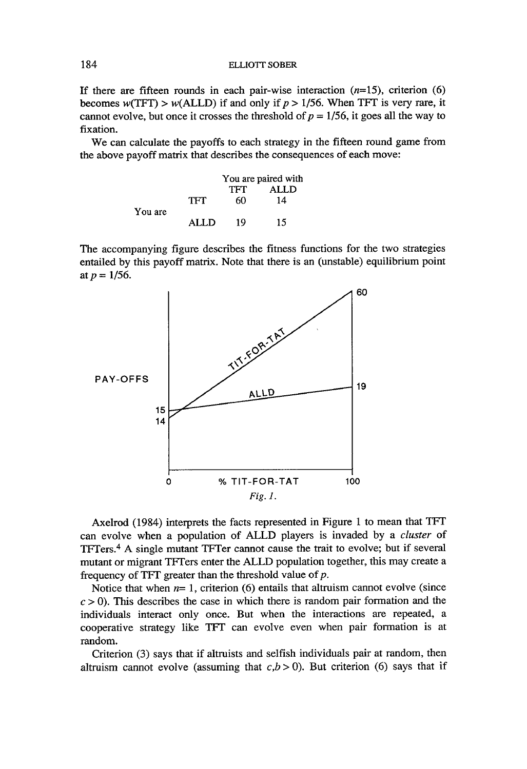#### ELLIOTT **SOBER**

If there are fifteen rounds in each pair-wise interaction *(n=15),* criterion (6) becomes  $w(TFT) > w(ALLD)$  if and only if  $p > 1/56$ . When TFT is very rare, it cannot evolve, but once it crosses the threshold of  $p = 1/56$ , it goes all the way to fixation.

We can calculate the payoffs to each strategy in the fifteen round game from the above payoff matrix that describes the consequences of each move:

|         |      | You are paired with |      |  |
|---------|------|---------------------|------|--|
|         |      | TFT                 | ALLD |  |
| You are | TFT  | 60                  | 14   |  |
|         | ALLD | 19                  | 15   |  |

The accompanying figure describes the fitness functions for the two strategies entailed by this payoff matrix. Note that there is an (unstable) equilibrium point at  $p = 1/56$ .



Axelrod (1984) interprets the facts represented in Figure 1 to mean that TFT can evolve when a population of ALLD players is invaded by a *cluster* of TFTers. <sup>4</sup> A single mutant TFTer cannot cause the trait to evolve; but if several mutant or migrant TFTers enter the ALLD population together, this may create a frequency of TFT greater than the threshold value of  $p$ .

Notice that when  $n=1$ , criterion (6) entails that altruism cannot evolve (since  $c > 0$ ). This describes the case in which there is random pair formation and the individuals interact only once. But when the interactions are repeated, a cooperative strategy like TFT can evolve even when pair formation is at random.

Criterion (3) says that if altruists and selfish individuals pair at random, then altruism cannot evolve (assuming that  $c,b > 0$ ). But criterion (6) says that if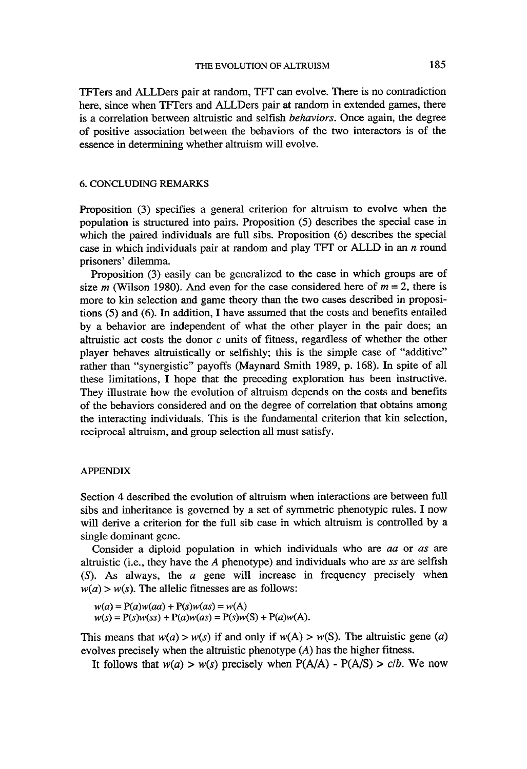TFTers and ALLDers pair at random, TFT can evolve. There is no contradiction here, since when TFTers and ALLDers pair at random in extended games, there is a correlation between altruistic and selfish *behaviors.* Once again, the degree of positive association between the behaviors of the two interactors is of the essence in determining whether altruism will evolve.

### 6. CONCLUDING REMARKS

Proposition (3) specifies a general criterion for altruism to evolve when the population is structured into pairs. Proposition (5) describes the special case in which the paired individuals are full sibs. Proposition (6) describes the special case in which individuals pair at random and play TFT or ALLD in an *n* round prisoners' dilemma.

Proposition (3) easily can be generalized to the case in which groups are of size *m* (Wilson 1980). And even for the case considered here of  $m = 2$ , there is more to kin selection and game theory than the two cases described in propositions (5) and (6). In addition, I have assumed that the costs and benefits entailed by a behavior are independent of what the other player in the pair does; an altruistic act costs the donor *c* units of fitness, regardless of whether the other player behaves altruistically or selfishly; this is the simple case of "additive" rather than "synergistic" payoffs (Maynard Smith 1989, p. 168). In spite of all these limitations, I hope that the preceding exploration has been instructive. They illustrate how the evolution of altruism depends on the costs and benefits of the behaviors considered and on the degree of correlation that obtains among the interacting individuals. This is the fundamental criterion that kin selection, reciprocal altruism, and group selection all must satisfy.

# APPENDIX

Section 4 described the evolution of altruism when interactions are between full sibs and inheritance is governed by a set of symmetric phenotypic rules. I now will derive a criterion for the full sib case in which altruism is controlled by a single dominant gene.

Consider a diploid population in which individuals who are *aa* or *as* are altruistic (i.e., they have the *A* phenotype) and individuals who are *ss* are selfish (S). As always, the *a* gene will increase in frequency precisely when  $w(a)$  >  $w(s)$ . The allelic fitnesses are as follows:

 $w(a) = P(a)w(aa) + P(s)w(as) = w(A)$  $w(s) = P(s)w(ss) + P(a)w(as) = P(s)w(S) + P(a)w(A).$ 

This means that  $w(a) > w(s)$  if and only if  $w(A) > w(S)$ . The altruistic gene *(a)* evolves precisely when the altruistic phenotype *(A)* has the higher fitness.

It follows that  $w(a) > w(s)$  precisely when  $P(A/A) - P(A/S) > c/b$ . We now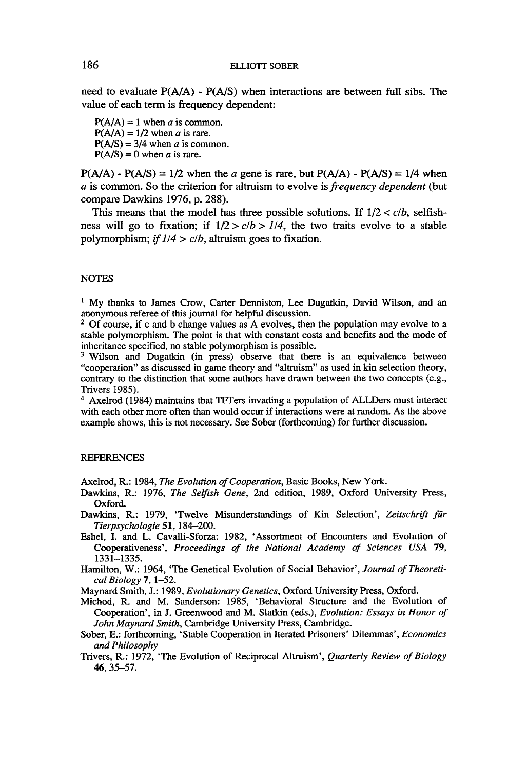need to evaluate  $P(A/A) - P(A/S)$  when interactions are between full sibs. The value of each term is frequency dependent:

 $P(A/A) = 1$  when *a* is common.  $P(A/A) = 1/2$  when a is rare.  $P(A/S) = 3/4$  when *a* is common.  $P(A/S) = 0$  when *a* is rare.

 $P(A/A) - P(A/S) = 1/2$  when the *a* gene is rare, but  $P(A/A) - P(A/S) = 1/4$  when *a* is common. So the criterion for altruism to evolve *is frequency dependent* (but compare Dawkins 1976, p. 288).

This means that the model has three possible solutions. If  $1/2 < c/b$ , selfishness will go to fixation; if  $1/2$  >  $c/b$  >  $1/4$ , the two traits evolve to a stable polymorphism; *if 1/4 > c/b,* altruism goes to fixation.

## **NOTES**

 $<sup>1</sup>$  My thanks to James Crow, Carter Denniston, Lee Dugatkin, David Wilson, and an</sup> anonymous referee of this journal for helpful discussion.

 $2$  Of course, if c and b change values as A evolves, then the population may evolve to a stable polymorphism. The point is that with constant costs and benefits and the mode of inheritance specified, no stable polymorphism is possible.

<sup>3</sup> Wilson and Dugatkin (in press) observe that there is an equivalence between "cooperation" as discussed in game theory and "altruism" as used in kin selection theory, contrary to the distinction that some authors have drawn between the two concepts (e.g., Trivers 1985).

4 Axelrod (1984) maintains that TFTers invading a population of ALLDers must interact with each other more often than would occur if interactions were at random. As the above example shows, this is not necessary. See Sober (forthcoming) for further discussion.

## **REFERENCES**

Axelrod, R.: 1984, *The Evolution of Cooperation,* Basic Books, New York.

- Dawkins, R.: 1976, *The Selfish Gene,* 2nd edition, 1989, Oxford University Press, Oxford.
- Dawkins, R.: 1979, 'Twelve Misunderstandings of Kin Selection', *Zeitschrift fr Tierpsychologie 51,* 184-200.
- Eshel, I. and L. Cavalli-Sforza: 1982, 'Assortment of Encounters and Evolution of Cooperativeness', *Proceedings of the National Academy of Sciences USA 79,* 1331-1335.
- Hamilton, W.: 1964, 'The Genetical Evolution of Social Behavior', *Journal of Theoretical Biology 7, 1-52.*

Maynard Smith, J.: 1989, *Evolutionary Genetics,* Oxford University Press, Oxford.

- Michod, R. and M. Sanderson: 1985, 'Behavioral Structure and the Evolution of Cooperation', in J. Greenwood and M. Slatkin (eds.), *Evolution: Essays in Honor of John Maynard Smith,* Cambridge University Press, Cambridge.
- Sober, E.: forthcoming, 'Stable Cooperation in Iterated Prisoners' Dilemmas', *Economics and Philosophy*
- Trivers, R.: 1972, 'The Evolution of Reciprocal Altruism', *Quarterly Review of Biology* 46, 35-57.